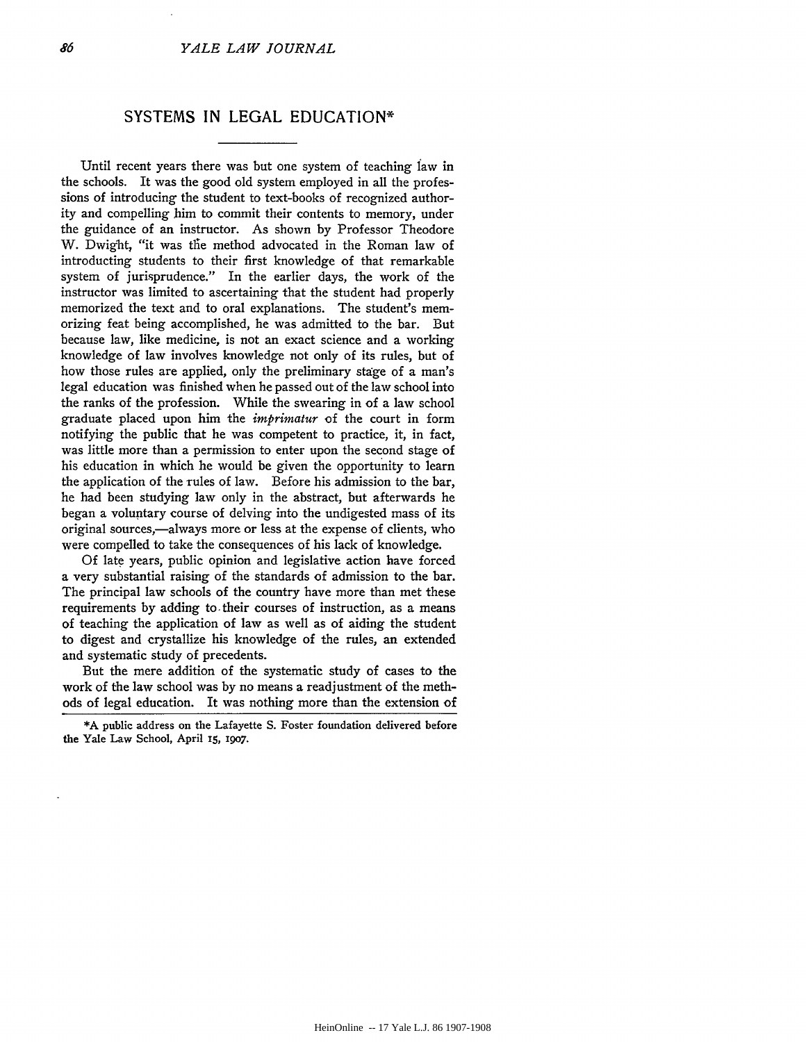## **SYSTEMS IN LEGAL EDUCATION\***

Until recent years there was but one system of teaching law in the schools. It was the good old system employed in all the professions of introducing the student to text-books of recognized authority and compelling him to commit their contents to memory, under the guidance of an instructor. As shown by Professor Theodore W. Dwight, "it was the method advocated in the Roman law of introducting students to their first knowledge of that remarkable system of jurisprudence." In the earlier days, the work of the instructor was limited to ascertaining that the student had properly memorized the text and to oral explanations. The student's memorizing feat being accomplished, he was admitted to the bar. But because law, like medicine, is not an exact science and a working knowledge of law involves knowledge not only of its rules, but of how those rules are applied, only the preliminary stage of a man's legal education was finished when he passed out of the law school into the ranks of the profession. While the swearing in of a law school graduate placed upon him the *imprimatur* of the court in form notifying the public that he was competent to practice, it, in fact, was little more than a permission to enter upon the second stage of his education in which he would be given the opportunity to learn the application of the rules of law. Before his admission to the bar, he had been studying law only in the abstract, but afterwards he began a voluntary course of delving into the undigested mass of its original sources,-always more or less at the expense of clients, who were compelled to take the consequences of his lack of knowledge.

Of late years, public opinion and legislative action have forced a very substantial raising of the standards of admission to the bar. The principal law schools of the country have more than met these requirements by adding **to.** their courses of instruction, as a means of teaching the application of law as well as of aiding the student to digest and crystallize his knowledge of the rules, an extended and systematic study of precedents.

But the mere addition of the systematic study of cases to the work of the law school was by no means a readjustment of the methods of legal education. It was nothing more than the extension of

<sup>\*</sup>A public address on the Lafayette S. Foster foundation delivered before the Yale Law School, April **15, 1907.**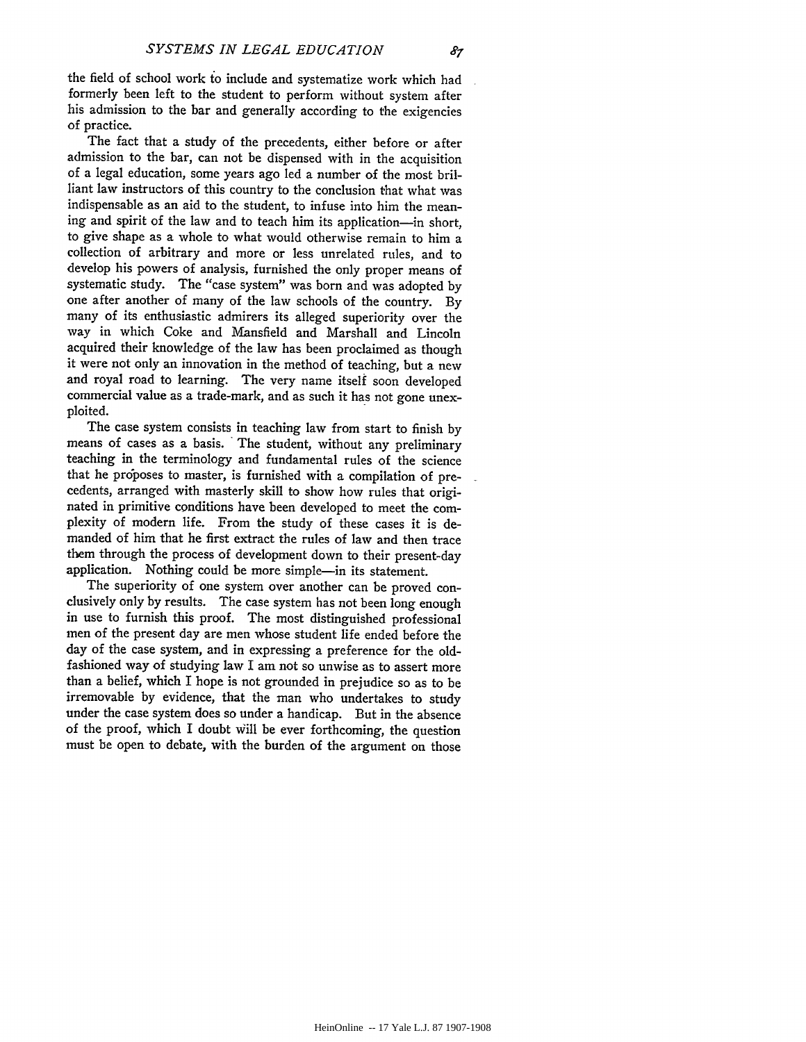the field of school work to include and systematize work which had formerly been left to the student to perform without system after his admission to the bar and generally according to the exigencies of practice.

The fact that a study of the precedents, either before or after admission to the bar, can not be dispensed with in the acquisition of a legal education, some years ago led a number of the most brilliant law instructors of this country to the conclusion that what was indispensable as an aid to the student, to infuse into him the meaning and spirit of the law and to teach him its application-in short, to give shape as a whole to what would otherwise remain to him a collection of arbitrary and more or less unrelated rules, and to develop his powers of analysis, furnished the only proper means of systematic study. The "case system" was born and was adopted by one after another of many of the law schools of the country. By many of its enthusiastic admirers its alleged superiority over the way in which Coke and Mansfield and Marshall and Lincoln acquired their knowledge of the law has been proclaimed as though it were not only an innovation in the method of teaching, but a new and royal road to learning. The very name itself soon developed commercial value as a trade-mark, and as such it has not gone unexploited.

The case system consists in teaching law from start to finish by means of cases as a basis. The student, without any preliminary teaching in the terminology and fundamental rules of the science that he proposes to master, is furnished with a compilation of precedents, arranged with masterly skill to show how rules that originated in primitive conditions have been developed to meet the complexity of modern life. From the study of these cases it is demanded of him that he first extract the rules of law and then trace them through the process of development down to their present-day application. Nothing could be more simple-in its statement.

The superiority of one system over another can be proved conclusively only by results. The case system has not been long enough in use to furnish this proof. The most distinguished professional men of the present day are men whose student life ended before the day of the case system, and in expressing a preference for the oldfashioned way of studying law I am not so unwise as to assert more than a belief, which I hope is not grounded in prejudice so as to be irremovable by evidence, that the man who undertakes to study under the case system does so under a handicap. But in the absence of the proof, which I doubt Will be ever forthcoming, the question must be open to debate, with the burden of the argument on those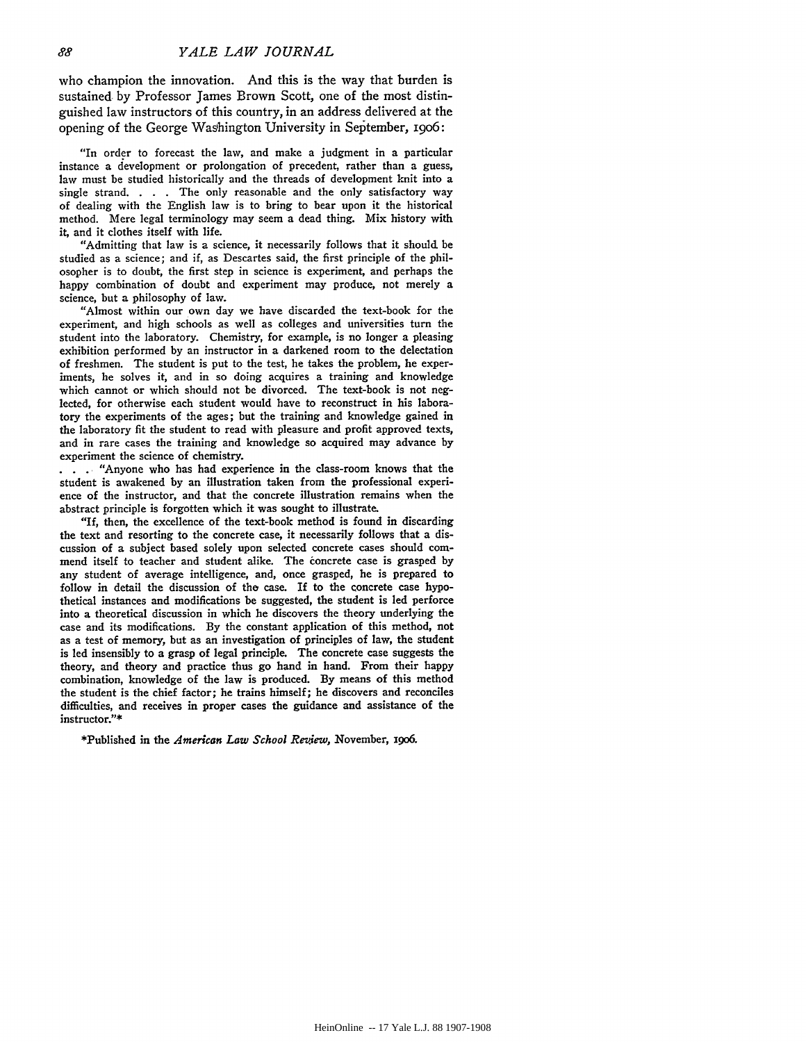who champion the innovation. And this is the way that burden is sustained by Professor James Brown Scott, one of the most distinguished law instructors of this country, in an address delivered at the opening of the George Washington University in September, 19o6:

"In order to forecast the law, and make a judgment in a particular instance a development or prolongation of precedent, rather than a guess, law must be studied historically and the threads of development knit into a single strand.  $\ldots$  The only reasonable and the only satisfactory way of dealing with the English law is to bring to bear upon it the historical method. Mere legal terminology may seem a dead thing. Mix history with it, and it clothes itself with life.

"Admitting that law is a science, it necessarily follows that it should be studied as a science; and if, as Descartes said, the first principle of the philosopher is to doubt, the first step in science is experiment, and perhaps the happy combination of doubt and experiment may produce, not merely a science, but a philosophy of law.

"Almost within our own day we have discarded the text-book for the experiment, and high schools as well as colleges and universities turn the student into the laboratory. Chemistry, for example, is no longer a pleasing exhibition performed by an instructor in a darkened room to the delectation of freshmen. The student is put to the test, he takes the problem, he experiments, he solves it, and in so doing acquires a training and knowledge which cannot or which should not be divorced. The text-book is not neglected, for otherwise each student would have to reconstruct in his laboratory the experiments of the ages; but the training and knowledge gained in the laboratory fit the student to read with pleasure and profit approved texts, and in rare cases the training and knowledge so acquired may advance by experiment the science of chemistry.

*•* **\*** *.* "Anyone who has had experience in the class-room knows that the student is awakened **by** an illustration taken from the professional experience of the instructor, and that the concrete illustration remains when the abstract principle is forgotten which it was sought to illustrate.

"If, then, the excellence of the text-book method is found in discarding the text and resorting to the concrete case, it necessarily follows that a discussion of a subject based solely upon selected concrete cases should commend itself to teacher and student alike. The concrete case is grasped by any student of average intelligence, and, once grasped, he is prepared to follow in detail the discussion of the case. If to the concrete case hypothetical instances and modifications be suggested, the student is led perforce into a theoretical discussion in which he discovers the theory underlying the case and its modifications. By the constant application of this method, not as a test of memory, but as an investigation of principles of law, the student is led insensibly to a grasp of legal principle. The concrete case suggests the theory, and theory and practice thus go hand in hand. From their happy combination, knowledge of the law is produced. By means of this method the student is the chief factor; he trains himself; he discovers and reconciles difficulties, and receives in proper cases the guidance and assistance of the instructor."\*

\*Published in the *American Law School Review,* November, **xgo6.**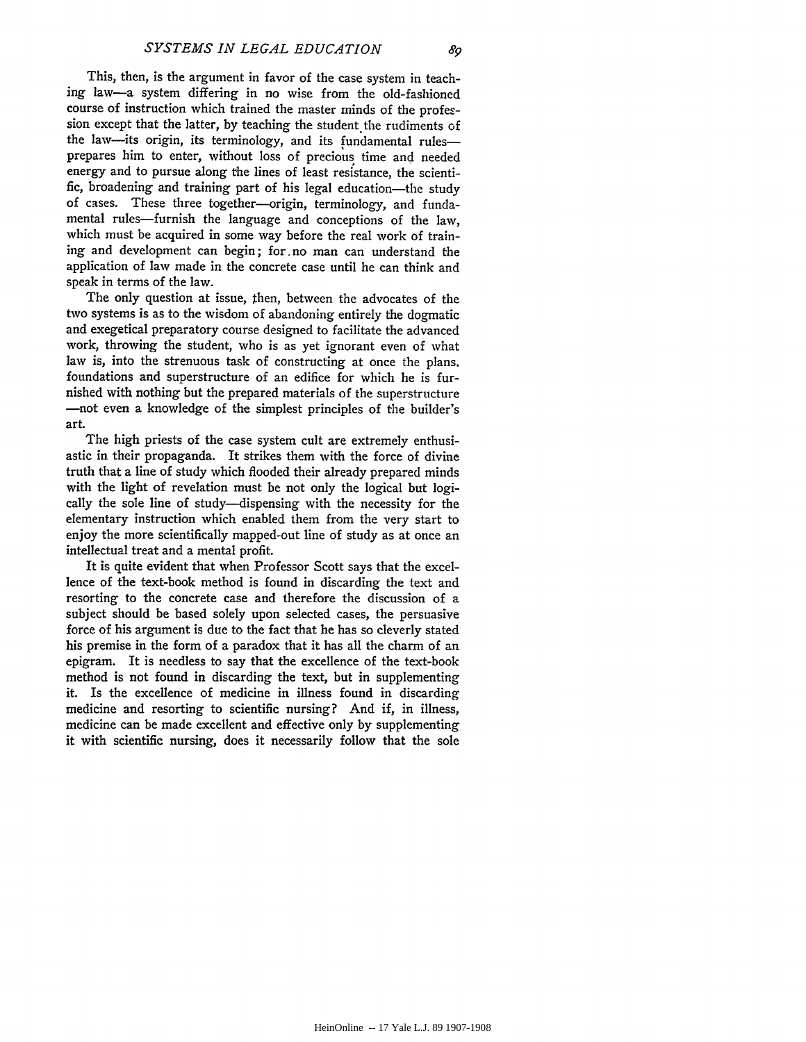This, then, is the argument in favor of the case system in teaching law-a system differing in no wise from the old-fashioned course of instruction which trained the master minds of the profession except that the latter, by teaching the student the rudiments of the law--its origin, its terminology, and its fundamental rulesprepares him to enter, without loss of precious time and needed energy and to pursue along the lines of least resistance, the scienti*fic,* broadening and training part of his legal education-the study of cases. These three together--origin, terminology, and fundamental rules-furnish the language and conceptions of the law, which must be acquired in some way before the real work of training and development can begin; for.no man can understand the application of law made in the concrete case until he can think and speak in terms of the law.

The only question at issue, then, between the advocates of the two systems is as to the wisdom of abandoning entirely the dogmatic and exegetical preparatory course designed to facilitate the advanced work, throwing the student, who is as yet ignorant even of what law is, into the strenuous task of constructing at once the plans. foundations and superstructure of an edifice for which he is furnished with nothing but the prepared materials of the superstructure -not even a knowledge of the simplest principles of the builder's art.

The high priests of the case system cult are extremely enthusiastic in their propaganda. It strikes them with the force of divine truth that a line of study which flooded their already prepared minds with the light of revelation must be not only the logical but logically the sole line of study-dispensing with the necessity for the elementary instruction which enabled them from the very start to enjoy the more scientifically mapped-out line of study as at once an intellectual treat and a mental profit.

It is quite evident that when Professor Scott says that the excellence of the text-book method is found in discarding the text and resorting to the concrete case and therefore the discussion of a subject should be based solely upon selected cases, the persuasive force of his argument is due to the fact that he has so cleverly stated his premise in the form of a paradox that it has all the charm of an epigram. It is needless to say that the excellence of the text-book method is not found in discarding the text, but in supplementing it. Is the excellence of medicine in illness found in discarding medicine and resorting to scientific nursing? And if, in illness, medicine can be made excellent and effective only by supplementing it with scientific nursing, does it necessarily follow that the sole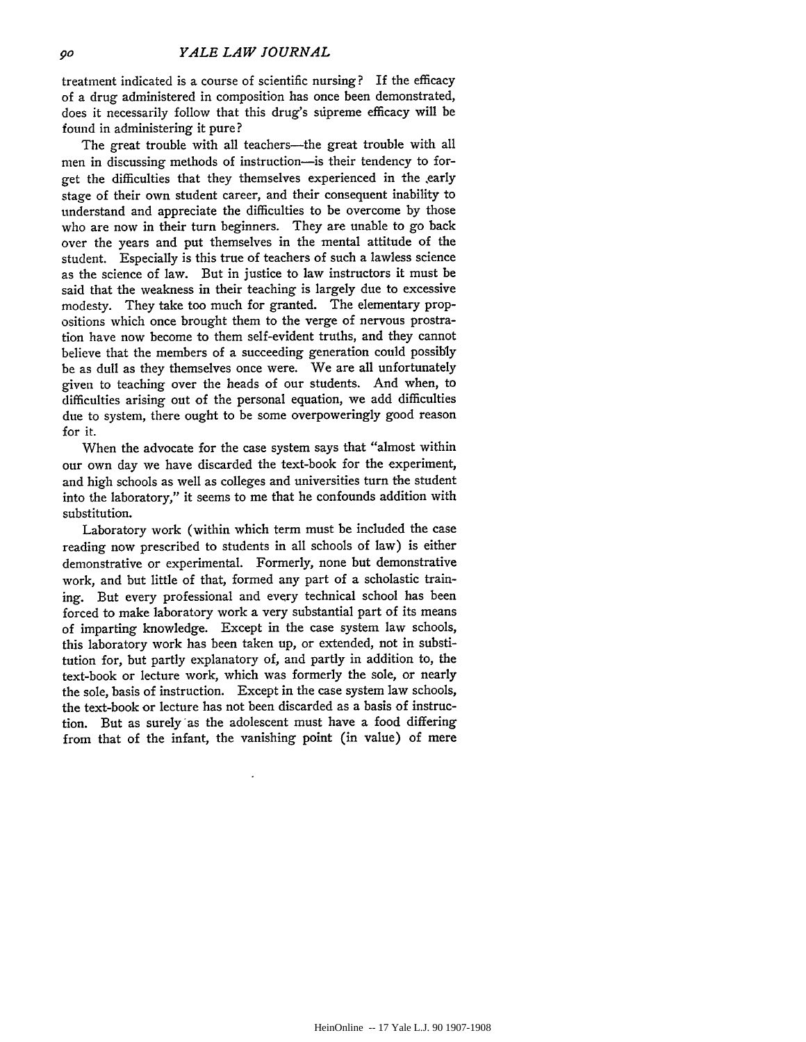treatment indicated is a course of scientific nursing? If the efficacy of a drug administered in composition has once been demonstrated, does it necessarily follow that this drug's supreme efficacy will be found in administering it pure?

The great trouble with all teachers-the great trouble with all men in discussing methods of instruction-is their tendency to forget the difficulties that they themselves experienced in the early stage of their own student career, and their consequent inability to understand and appreciate the difficulties to be overcome by those who are now in their turn beginners. They are unable to go back over the years and put themselves in the mental attitude of the student. Especially is this true of teachers of such a lawless science as the science of law. But in justice to law instructors it must be said that the weakness in their teaching is largely due to excessive modesty. They take too much for granted. The elementary propositions which once brought them to the verge of nervous prostration have now become to them self-evident truths, and they cannot believe that the members of a succeeding generation could possibly be as dull as they themselves once were. We are all unfortunately given to teaching over the heads of our students. And when, to difficulties arising out of the personal equation, we add difficulties due to system, there ought to be some overpoweringly good reason for it.

When the advocate for the case system says that "almost within our own day we have discarded the text-book for the experiment, and high schools as well as colleges and universities turn the student into the laboratory," it seems to me that he confounds addition with substitution.

Laboratory work (within which term must be included the case reading now prescribed to students in all schools of law) is either demonstrative or experimental. Formerly, none but demonstrative work, and but little of that, formed any part of a scholastic training. But every professional and every technical school has been forced to make laboratory work a very substantial part of its means of imparting knowledge. Except in the case system law schools, this laboratory work has been taken up, or extended, not in substitution for, but partly explanatory of, and partly in addition to, the text-book or lecture work, which was formerly the sole, or nearly the sole, basis of instruction. Except in the case system law schools, the text-book or lecture has not been discarded as a basis of instruction. But as surely'as the adolescent must have a food differing from that of the infant, the vanishing point (in value) of mere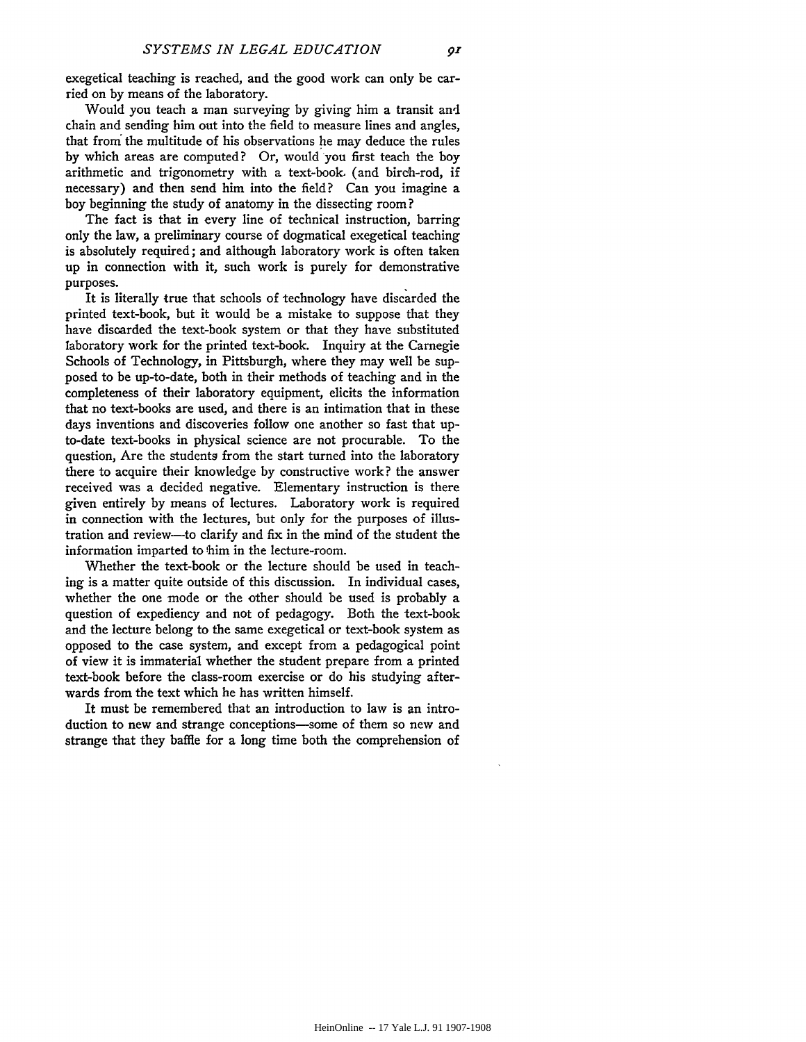$o<sub>I</sub>$ 

exegetical teaching is reached, and the good work can only be carried on by means of the laboratory.

Would you teach a man surveying by giving him a transit and chain and sending him out into the field to measure lines and angles, that from the multitude of his observations he may deduce the rules by which areas are computed? Or, would you first teach the boy arithmetic and trigonometry with a text-book. (and bireh-rod, if necessary) and then send him into the field? Can you imagine a boy beginning the study of anatomy in the dissecting room?

The fact is that in every line of technical instruction, barring only the law, a preliminary course of dogmatical exegetical teaching is absolutely required; and although laboratory work is often taken up in connection with it, such work is purely for demonstrative purposes.

It is literally true that schools of technology have discarded the printed text-book, but it would be a mistake to suppose that they have discarded the text-book system or that they have substituted laboratory work for the printed text-book. Inquiry at the Carnegie Schools of Technology, in Pittsburgh, where they may well be supposed to be up-to-date, both in their methods of teaching and in the completeness of their laboratory equipment, elicits the information that no text-books are used, and there is an intimation that in these days inventions and discoveries follow one another so fast that upto-date text-books in physical science are not procurable. To the question, Are the students from the start turned into the laboratory there to acquire their knowledge by constructive work? the answer received was a decided negative. Elementary instruction is there given entirely by means of lectures. Laboratory work is required in connection with the lectures, but only for the purposes of illustration and review-to clarify and fix in the mind of the student the information imparted to 'him in the lecture-room.

Whether the text-book or the lecture should be used in teaching is a matter quite outside of this discussion. In individual cases, whether the one mode or the other should be used is probably a question of expediency and not of pedagogy. Both the text-book and the lecture belong to the same exegetical or text-book system as opposed to the case system, and except from a pedagogical point of view it is immaterial whether the student prepare from a printed text-book before the class-room exercise or do his studying afterwards from the text which he has written himself.

It must be remembered that an introduction to law is an introduction to new and strange conceptions-some of them so new and strange that they baffle for a long time both the comprehension of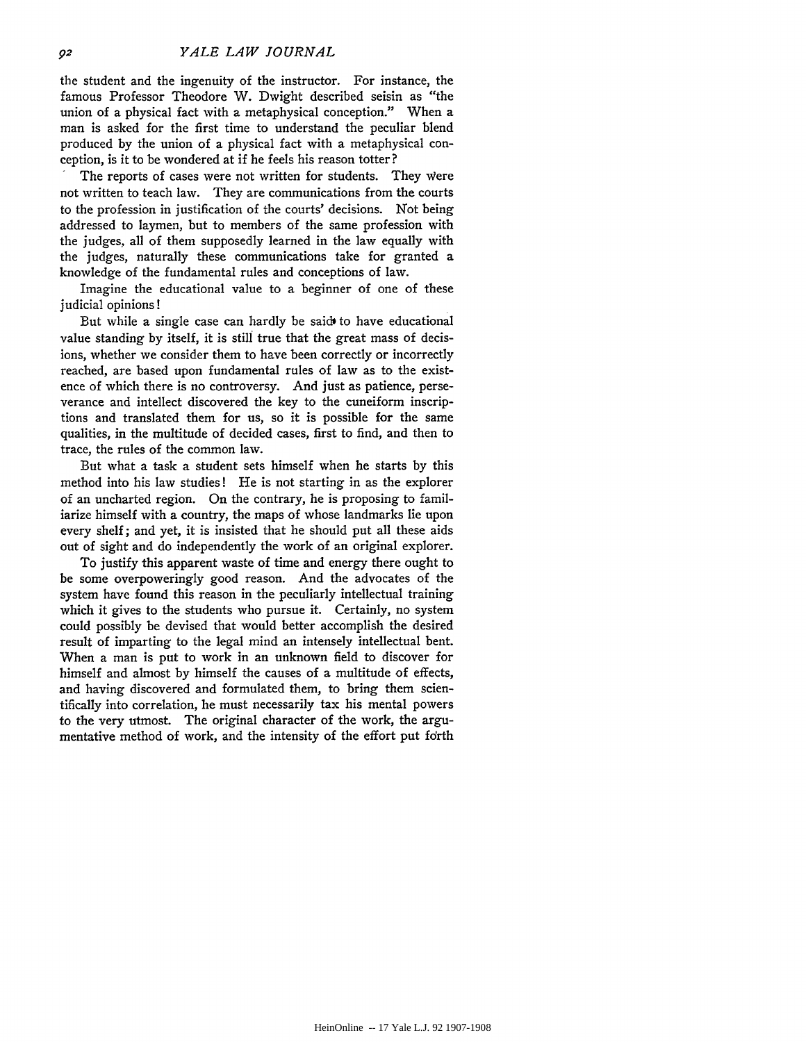the student and the ingenuity of the instructor. For instance, the famous Professor Theodore W. Dwight described seisin as "the union of a physical fact with a metaphysical conception." When a man is asked for the first time to understand the peculiar blend produced by the union of a physical fact with a metaphysical conception, is it to be wondered at if he feels his reason totter?<br>The reports of cases were not written for students. They were

not written to teach law. They are communications from the courts to the profession in justification of the courts' decisions. Not being addressed to laymen, but to members of the same profession with the judges, all of them supposedly learned in the law equally with the judges, naturally these communications take for granted a knowledge of the fundamental rules and conceptions of law.

Imagine the educational value to a beginner of one of these judicial opinions!

But while a single case can hardly be said to have educational value standing by itself, it is still true that the great mass of decisions, whether we consider them to have been correctly or incorrectly reached, are based upon fundamental rules of law as to the existence of which there is no controversy. And just as patience, perseverance and intellect discovered the key to the cuneiform inscriptions and translated them for us, so it is possible for the same qualities, in the multitude of decided cases, first to find, and then to trace, the rules of the common law.

But what a task a student sets himself when he starts by this method into his law studies! He is not starting in as the explorer of an uncharted region. On the contrary, he is proposing to familiarize himself with a country, the maps of whose landmarks lie upon every shelf; and yet, it is insisted that he should put all these aids out of sight and do independently the work of an original explorer.

To justify this apparent waste of time and energy there ought to be some overpoweringly good reason. And the advocates of the system have found this reason in the peculiarly intellectual training which it gives to the students who pursue it. Certainly, no system could possibly be devised that would better accomplish the desired result of imparting to the legal mind an intensely intellectual bent. When a man is put to work in an unknown field to discover for himself and almost by himself the causes of a multitude of effects, and having discovered and formulated them, to bring them scientifically into correlation, he must necessarily tax his mental powers to the very utmost. The original character of the work, the argumentative method of work, and the intensity of the effort put forth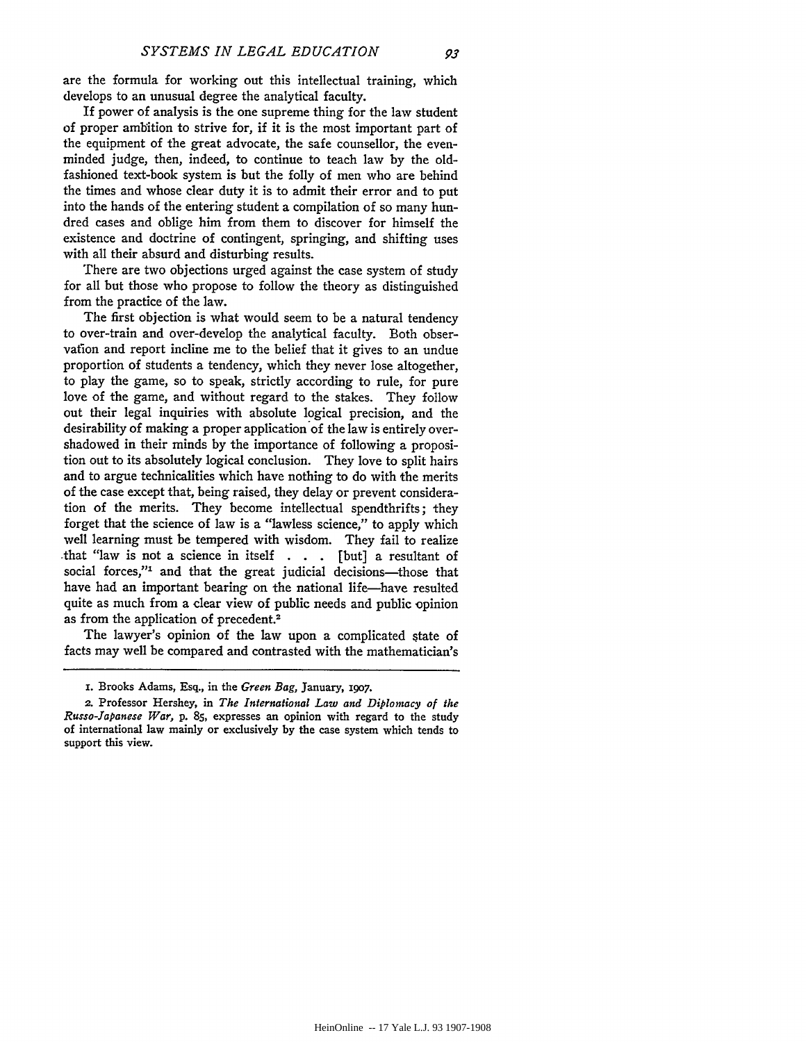93

are the formula for working out this intellectual training, which develops to an unusual degree the analytical faculty.

If power of analysis is the one supreme thing for the law student of proper ambition to strive for, if it is the most important part of the equipment of the great advocate, the safe counsellor, the evenminded judge, then, indeed, to continue to teach law by the oldfashioned text-book system is but the folly of men who are behind the times and whose clear duty it is to admit their error and to put into the hands of the entering student a compilation of so many hundred cases and oblige him from them to discover for himself the existence and doctrine of contingent, springing, and shifting uses with all their absurd and disturbing results.

There are two objections urged against the case system of study for all but those who propose to follow the theory as distinguished from the practice of the law.

The first objection is what would seem to be a natural tendency to over-train and over-develop the analytical faculty. Both observafion and report incline me to the belief that it gives to an undue proportion of students a tendency, which they never lose altogether, to play the game, so to speak, strictly according to rule, for pure love of the game, and without regard to the stakes. They follow out their legal inquiries with absolute logical precision, and the desirability of making a proper application of the law is entirely overshadowed in their minds by the importance of following a proposition out to its absolutely logical conclusion. They love to split hairs and to argue technicalities which have nothing to do with the merits of the case except that, being raised, they delay or prevent consideration of the merits. They become intellectual spendthrifts; they forget that the science of law is a "lawless science," to apply which well learning must be tempered with wisdom. They fail to realize that "law is not a science in itself **. . .** [but] a resultant of social forces,"1 and that the great judicial decisions-those that have had an important bearing on the national life-have resulted quite as much from a clear view of public needs and public opinion as from the application of precedent.<sup>2</sup>

The lawyer's opinion of the law upon a complicated state of facts may well be compared and contrasted with the mathematician's

**i.** Brooks Adams, Esq., in the *Green Bag,* January, i9o7.

**<sup>2.</sup>** Professor Hershey, in *The International Law and Diplomacy of the Russo-Japanese War,* **p. 85,** expresses an opinion with regard to the study of international law mainly or exclusively by the case system which tends to support this view.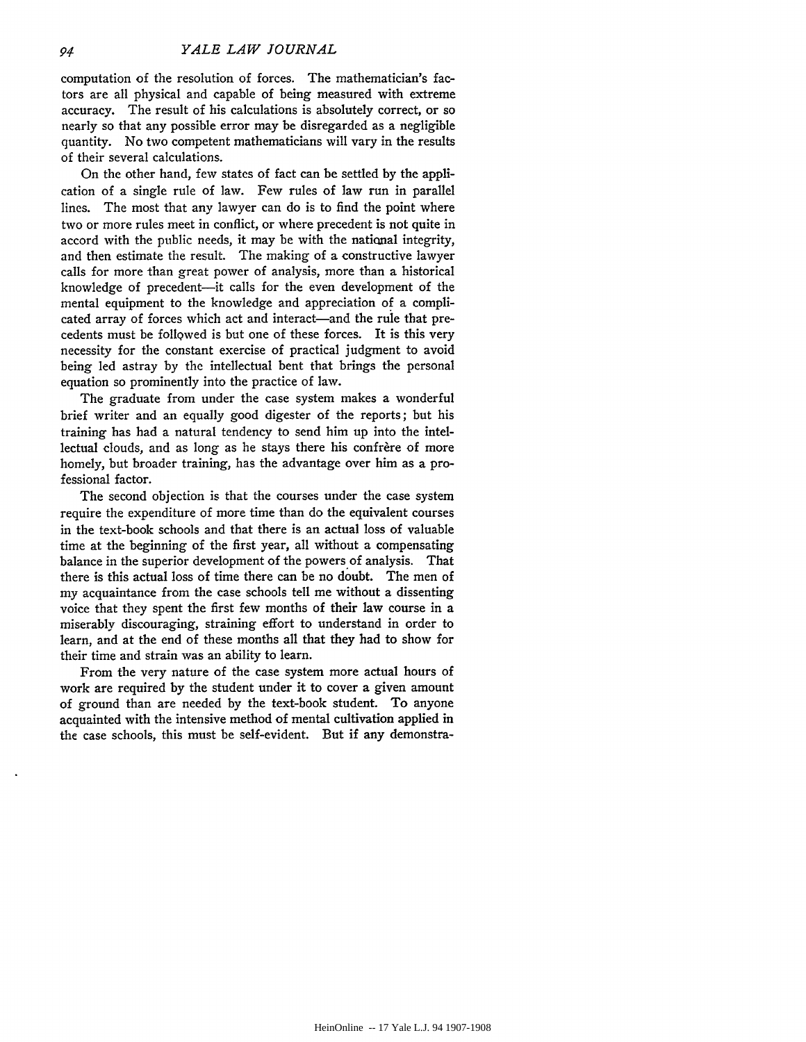computation of the resolution of forces. The mathematician's factors are all physical and capable of being measured with extreme accuracy. The result of his calculations is absolutely correct, or so nearly so that any possible error may be disregarded as a negligible quantity. No two competent mathematicians will vary in the results of their several calculations.

On the other hand, few states of fact can be settled by the application of a single rule of law. Few rules of law run in parallel lines. The most that any lawyer can do is to find the point where two or more rules meet in conflict, or where precedent is not quite in accord with the public needs, it may be with the national integrity, and then estimate the result. The making of a constructive lawyer calls for more than great power of analysis, more than a historical knowledge of precedent---it calls for the even development of the mental equipment to the knowledge and appreciation of a complicated array of forces which act and interact—and the rule that precedents must be followed is but one of these forces. It is this very necessity for the constant exercise of practical judgment to avoid being led astray **by** the intellectual bent that brings the personal equation so prominently into the practice of law.

The graduate from under the case system makes a wonderful brief writer and an equally good digester of the reports; but his training has had a natural tendency to send him up into the intellectual clouds, and as long as he stays there his confrere of more homely, but broader training, has the advantage over him as a professional factor.

The second objection is that the courses under the case system require the expenditure of more time than do the equivalent courses in the text-book schools and that there is an actual loss of valuable time at the beginning of the first year, all without a compensating balance in the superior development of the powers of analysis. That there is this actual loss of time there can be no doubt. The men of my acquaintance from the case schools tell me without a dissenting voice that they spent the first few months of their law course in a miserably discouraging, straining effort to understand in order to learn, and at the end of these months all that they had to show for their time and strain was an ability to learn.

From the very nature of the case system more actual hours of work are required by the student under it to cover a given amount of ground than are needed by the text-book student. To anyone acquainted with the intensive method of mental cultivation applied in the case schools, this must be self-evident. But if any demonstra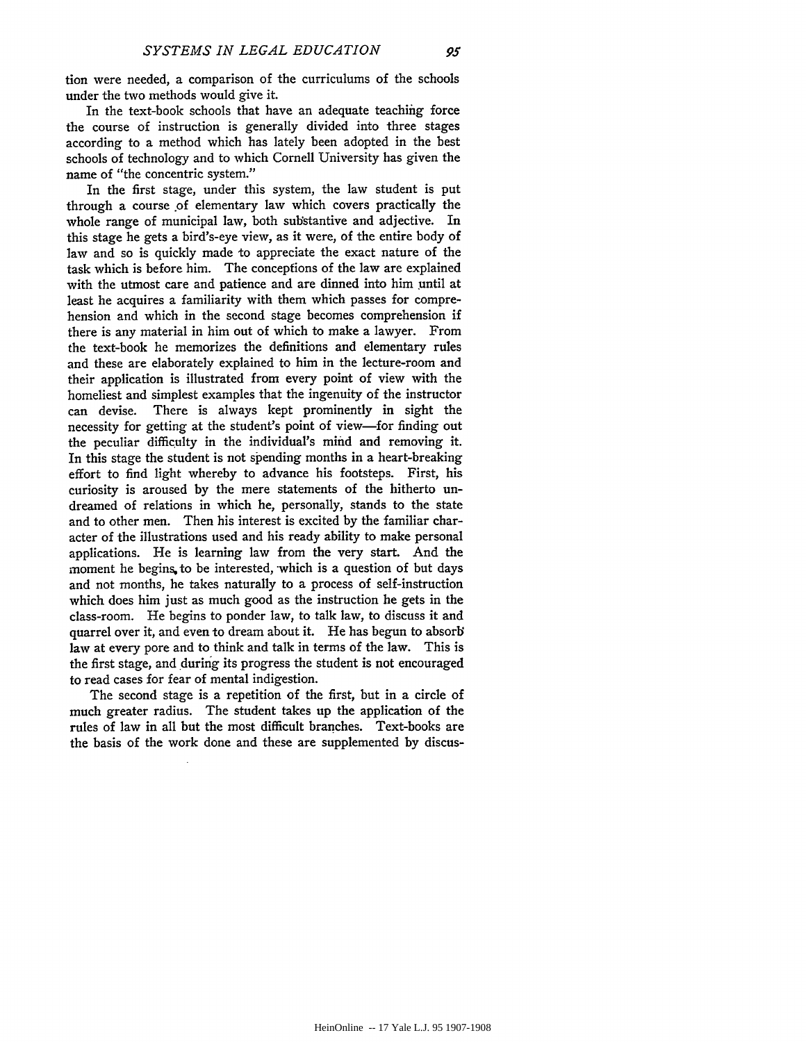tion were needed, a comparison of the curriculums of the schools under the two methods would give it.

In the text-book schools that have an adequate teaching force the course of instruction is generally divided into three stages according to a method which has lately been adopted in the best schools of technology and to which Cornell University has given the name of "the concentric system."

In the first stage, under this system, the law student is put through a course of elementary law which covers practically the whole range of municipal law, both substantive and adjective. In this stage he gets a bird's-eye view, as it were, of the entire body of law and so is quickly made to appreciate the exact nature of the task which is before him. The concepions of the law are explained with the utmost care and patience and are dinned into him until at least he acquires a familiarity with them which passes for comprehension and which in the second stage becomes comprehension if there is any material in him out of which to make a lawyer. From the text-book he memorizes the definitions and elementary rules and these are elaborately explained to him in the lecture-room and their application is illustrated from every point of view with the homeliest and simplest examples that the ingenuity of the instructor can devise. There is always kept prominently in sight the necessity for getting at the student's point of view-for finding out the peculiar difficulty in the individual's mind and removing it. In this stage the student is not spending months in a heart-breaking effort to find light whereby to advance his footsteps. First, his curiosity is aroused by the mere statements of the hitherto undreamed of relations in which he, personally, stands to the state and to other men. Then his interest is excited by the familiar character of the illustrations used and his ready ability to make personal applications. He is learning law from the very start. And the moment he begins to be interested, which is a question of but days and not months, he takes naturally to a process of self-instruction which does him just as much good as the instruction he gets in the class-room. He begins to ponder law, to talk law, to discuss it and quarrel over it, and even to dream about it. He has begun to absorb law at every pore and to think and talk in terms of the law. This is the first stage, and during its progress the student is not encouraged to read cases for fear of mental indigestion.

The second stage is a repetition of the first, but in a circle of much greater radius. The student takes up the application of the rules of law in all but the most difficult branches. Text-books are the basis of the work done and these are supplemented by discus-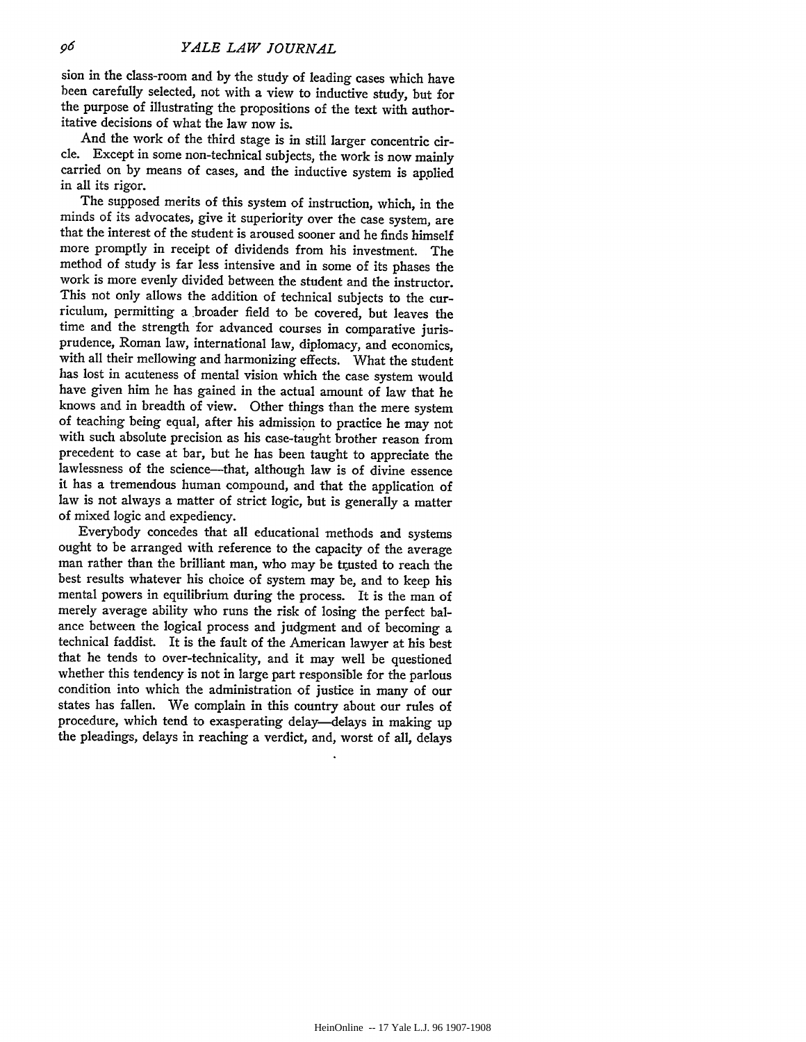sion in the class-room and by the study of leading cases which have been carefully selected, not with a view to inductive study, but for the purpose of illustrating the propositions of the text with authoritative decisions of what the law now is.

And the work of the third stage is in still larger concentric circle. Except in some non-technical subjects, the work is now mainly carried on by means of cases, and the inductive system is applied in all its rigor.

The supposed merits of this system of instruction, which, in the minds of its advocates, give it superiority over the case system, are that the interest of the student is aroused sooner and he finds himself more promptly in receipt of dividends from his investment. The method of study is far less intensive and in some of its phases the work is more evenly divided between the student and the instructor. This not only allows the addition of technical subjects to the curriculum, permitting a broader field to be covered, but leaves the time and the strength for advanced courses in comparative jurisprudence, Roman law, international law, diplomacy, and economics, with all their mellowing and harmonizing effects. What the student has lost in acuteness of mental vision which the case system would have given him he has gained in the actual amount of law that he knows and in breadth of view. Other things than the mere system of teaching being equal, after his admission to practice he may not with such absolute precision as his case-taught brother reason from precedent to case at bar, but he has been taught to appreciate the lawlessness of the science-that, although law is of divine essence it has a tremendous human compound, and that the application of law is not always a matter of strict logic, but is generally a matter of mixed logic and expediency.

Everybody concedes that all educational methods and systems ought to be arranged with reference to the capacity of the average man rather than the brilliant man, who may be trusted to reach the best results whatever his choice of system may be, and to keep his mental powers in equilibrium during the process. It is the man of merely average ability who runs the risk of losing the perfect balance between the logical process and judgment and of becoming a technical faddist. It is the fault of the American lawyer at his best that he tends to over-technicality, and it may well be questioned whether this tendency is not in large part responsible for the parlous condition into which the administration of justice in many of our states has fallen. We complain in this country about our rules of procedure, which tend to exasperating delay-delays in making up the pleadings, delays in reaching a verdict, and, worst of all, delays